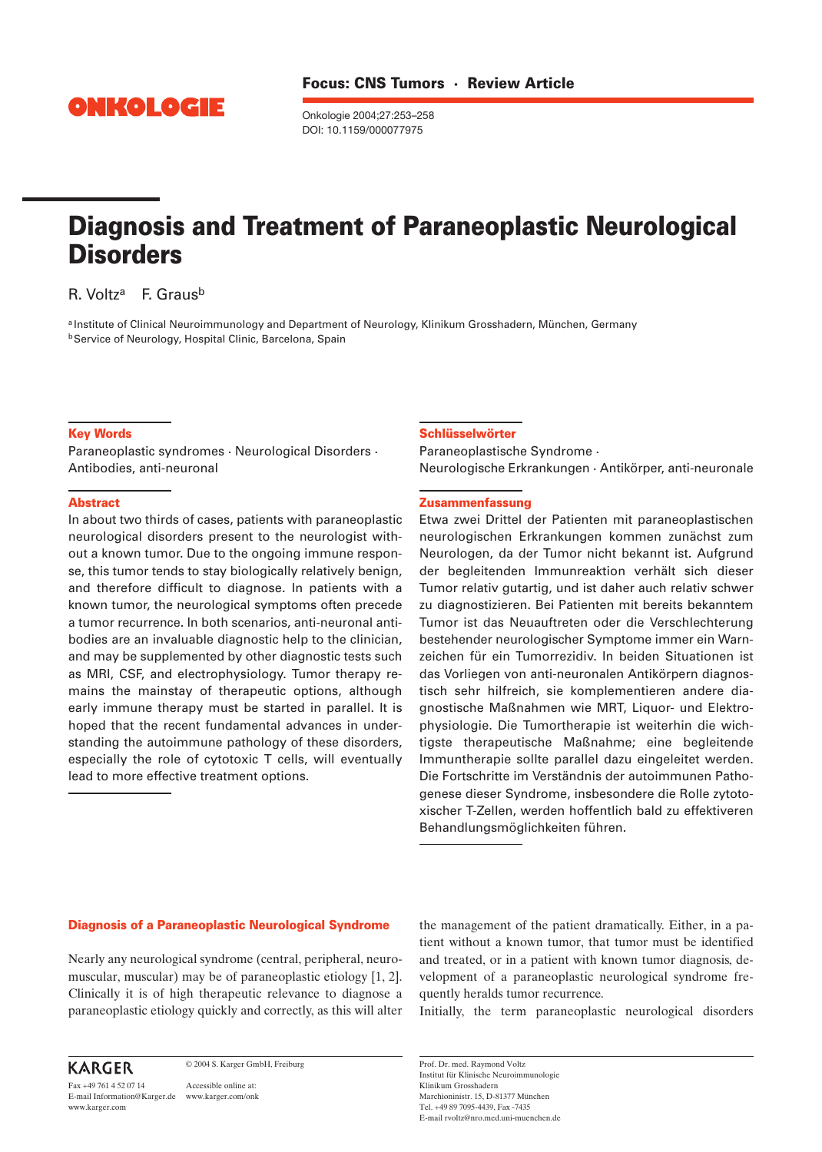

Onkologie 2004;27:253–258 DOI: 10.1159/000077975

# **Diagnosis and Treatment of Paraneoplastic Neurological Disorders**

R. Voltz<sup>a</sup> F. Graus<sup>b</sup>

a Institute of Clinical Neuroimmunology and Department of Neurology, Klinikum Grosshadern, München, Germany **b**Service of Neurology, Hospital Clinic, Barcelona, Spain

### **Key Words**

Paraneoplastic syndromes · Neurological Disorders · Antibodies, anti-neuronal

## **Abstract**

In about two thirds of cases, patients with paraneoplastic neurological disorders present to the neurologist without a known tumor. Due to the ongoing immune response, this tumor tends to stay biologically relatively benign, and therefore difficult to diagnose. In patients with a known tumor, the neurological symptoms often precede a tumor recurrence. In both scenarios, anti-neuronal antibodies are an invaluable diagnostic help to the clinician, and may be supplemented by other diagnostic tests such as MRI, CSF, and electrophysiology. Tumor therapy remains the mainstay of therapeutic options, although early immune therapy must be started in parallel. It is hoped that the recent fundamental advances in understanding the autoimmune pathology of these disorders, especially the role of cytotoxic T cells, will eventually lead to more effective treatment options.

#### **Schlüsselwörter**

Paraneoplastische Syndrome · Neurologische Erkrankungen · Antikörper, anti-neuronale

#### **Zusammenfassung**

Etwa zwei Drittel der Patienten mit paraneoplastischen neurologischen Erkrankungen kommen zunächst zum Neurologen, da der Tumor nicht bekannt ist. Aufgrund der begleitenden Immunreaktion verhält sich dieser Tumor relativ gutartig, und ist daher auch relativ schwer zu diagnostizieren. Bei Patienten mit bereits bekanntem Tumor ist das Neuauftreten oder die Verschlechterung bestehender neurologischer Symptome immer ein Warnzeichen für ein Tumorrezidiv. In beiden Situationen ist das Vorliegen von anti-neuronalen Antikörpern diagnostisch sehr hilfreich, sie komplementieren andere diagnostische Maßnahmen wie MRT, Liquor- und Elektrophysiologie. Die Tumortherapie ist weiterhin die wichtigste therapeutische Maßnahme; eine begleitende Immuntherapie sollte parallel dazu eingeleitet werden. Die Fortschritte im Verständnis der autoimmunen Pathogenese dieser Syndrome, insbesondere die Rolle zytotoxischer T-Zellen, werden hoffentlich bald zu effektiveren Behandlungsmöglichkeiten führen.

#### **Diagnosis of a Paraneoplastic Neurological Syndrome**

Nearly any neurological syndrome (central, peripheral, neuromuscular, muscular) may be of paraneoplastic etiology [1, 2]. Clinically it is of high therapeutic relevance to diagnose a paraneoplastic etiology quickly and correctly, as this will alter the management of the patient dramatically. Either, in a patient without a known tumor, that tumor must be identified and treated, or in a patient with known tumor diagnosis, development of a paraneoplastic neurological syndrome frequently heralds tumor recurrence.

Initially, the term paraneoplastic neurological disorders

# **KARGER**

Fax +49 761 4 52 07 14 www.karger.com

© 2004 S. Karger GmbH, Freiburg

Accessible online at: E-mail Information@Karger.de www.karger.com/onk Prof. Dr. med. Raymond Voltz Institut für Klinische Neuroimmunologie Klinikum Grosshadern Marchioninistr. 15, D-81377 München Tel. +49 89 7095-4439, Fax -7435 E-mail rvoltz@nro.med.uni-muenchen.de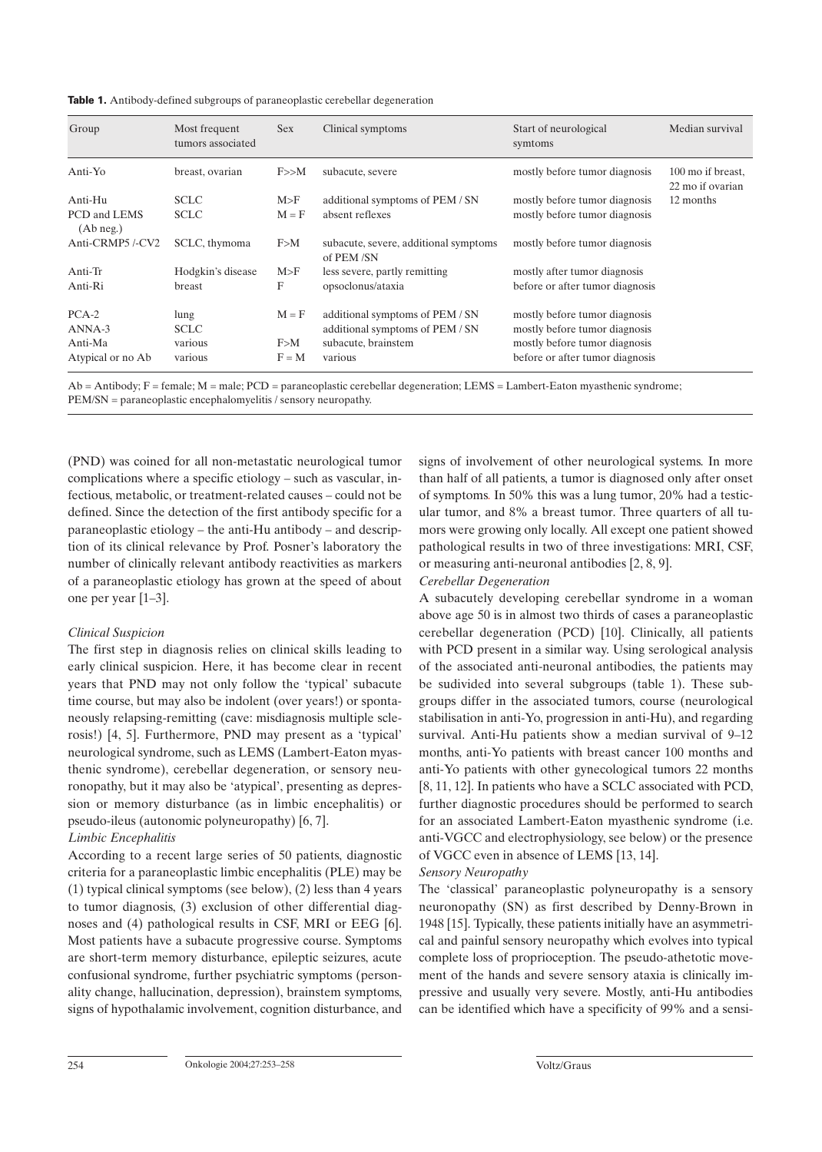| Table 1. Antibody-defined subgroups of paraneoplastic cerebellar degeneration |  |  |  |
|-------------------------------------------------------------------------------|--|--|--|
|-------------------------------------------------------------------------------|--|--|--|

| Group                         | Most frequent<br>tumors associated | <b>Sex</b> | Clinical symptoms                                                  | Start of neurological<br>symtoms                               | Median survival                       |
|-------------------------------|------------------------------------|------------|--------------------------------------------------------------------|----------------------------------------------------------------|---------------------------------------|
| Anti-Yo                       | breast, ovarian                    | F>>M       | subacute, severe                                                   | mostly before tumor diagnosis                                  | 100 mo if breast,<br>22 mo if ovarian |
| Anti-Hu                       | <b>SCLC</b>                        | M>F        | additional symptoms of PEM / SN                                    | mostly before tumor diagnosis                                  | 12 months                             |
| PCD and LEMS<br>$(Ab \nneq.)$ | <b>SCLC</b>                        | $M = F$    | absent reflexes                                                    | mostly before tumor diagnosis                                  |                                       |
| Anti-CRMP5/-CV2               | SCLC, thymoma                      | F>M        | subacute, severe, additional symptoms<br>of PEM/SN                 | mostly before tumor diagnosis                                  |                                       |
| Anti-Tr                       | Hodgkin's disease                  | M>F        | less severe, partly remitting                                      | mostly after tumor diagnosis                                   |                                       |
| Anti-Ri                       | breast                             | F          | opsoclonus/ataxia                                                  | before or after tumor diagnosis                                |                                       |
| $PCA-2$<br>ANNA-3             | lung<br><b>SCLC</b>                | $M = F$    | additional symptoms of PEM / SN<br>additional symptoms of PEM / SN | mostly before tumor diagnosis<br>mostly before tumor diagnosis |                                       |
| Anti-Ma                       | various                            | F>M        | subacute, brainstem                                                | mostly before tumor diagnosis                                  |                                       |
| Atypical or no Ab             | various                            | $F = M$    | various                                                            | before or after tumor diagnosis                                |                                       |

Ab = Antibody; F = female; M = male; PCD = paraneoplastic cerebellar degeneration; LEMS = Lambert-Eaton myasthenic syndrome; PEM/SN = paraneoplastic encephalomyelitis / sensory neuropathy.

(PND) was coined for all non-metastatic neurological tumor complications where a specific etiology – such as vascular, infectious, metabolic, or treatment-related causes – could not be defined. Since the detection of the first antibody specific for a paraneoplastic etiology – the anti-Hu antibody – and description of its clinical relevance by Prof. Posner's laboratory the number of clinically relevant antibody reactivities as markers of a paraneoplastic etiology has grown at the speed of about one per year [1–3].

## *Clinical Suspicion*

The first step in diagnosis relies on clinical skills leading to early clinical suspicion. Here, it has become clear in recent years that PND may not only follow the 'typical' subacute time course, but may also be indolent (over years!) or spontaneously relapsing-remitting (cave: misdiagnosis multiple sclerosis!) [4, 5]. Furthermore, PND may present as a 'typical' neurological syndrome, such as LEMS (Lambert-Eaton myasthenic syndrome), cerebellar degeneration, or sensory neuronopathy, but it may also be 'atypical', presenting as depression or memory disturbance (as in limbic encephalitis) or pseudo-ileus (autonomic polyneuropathy) [6, 7].

### *Limbic Encephalitis*

According to a recent large series of 50 patients, diagnostic criteria for a paraneoplastic limbic encephalitis (PLE) may be (1) typical clinical symptoms (see below), (2) less than 4 years to tumor diagnosis, (3) exclusion of other differential diagnoses and (4) pathological results in CSF, MRI or EEG [6]. Most patients have a subacute progressive course. Symptoms are short-term memory disturbance, epileptic seizures, acute confusional syndrome, further psychiatric symptoms (personality change, hallucination, depression), brainstem symptoms, signs of hypothalamic involvement, cognition disturbance, and signs of involvement of other neurological systems. In more than half of all patients, a tumor is diagnosed only after onset of symptoms. In 50% this was a lung tumor, 20% had a testicular tumor, and 8% a breast tumor. Three quarters of all tumors were growing only locally. All except one patient showed pathological results in two of three investigations: MRI, CSF, or measuring anti-neuronal antibodies [2, 8, 9].

#### *Cerebellar Degeneration*

A subacutely developing cerebellar syndrome in a woman above age 50 is in almost two thirds of cases a paraneoplastic cerebellar degeneration (PCD) [10]. Clinically, all patients with PCD present in a similar way. Using serological analysis of the associated anti-neuronal antibodies, the patients may be sudivided into several subgroups (table 1). These subgroups differ in the associated tumors, course (neurological stabilisation in anti-Yo, progression in anti-Hu), and regarding survival. Anti-Hu patients show a median survival of 9–12 months, anti-Yo patients with breast cancer 100 months and anti-Yo patients with other gynecological tumors 22 months [8, 11, 12]. In patients who have a SCLC associated with PCD, further diagnostic procedures should be performed to search for an associated Lambert-Eaton myasthenic syndrome (i.e. anti-VGCC and electrophysiology, see below) or the presence of VGCC even in absence of LEMS [13, 14].

#### *Sensory Neuropathy*

The 'classical' paraneoplastic polyneuropathy is a sensory neuronopathy (SN) as first described by Denny-Brown in 1948 [15]. Typically, these patients initially have an asymmetrical and painful sensory neuropathy which evolves into typical complete loss of proprioception. The pseudo-athetotic movement of the hands and severe sensory ataxia is clinically impressive and usually very severe. Mostly, anti-Hu antibodies can be identified which have a specificity of 99% and a sensi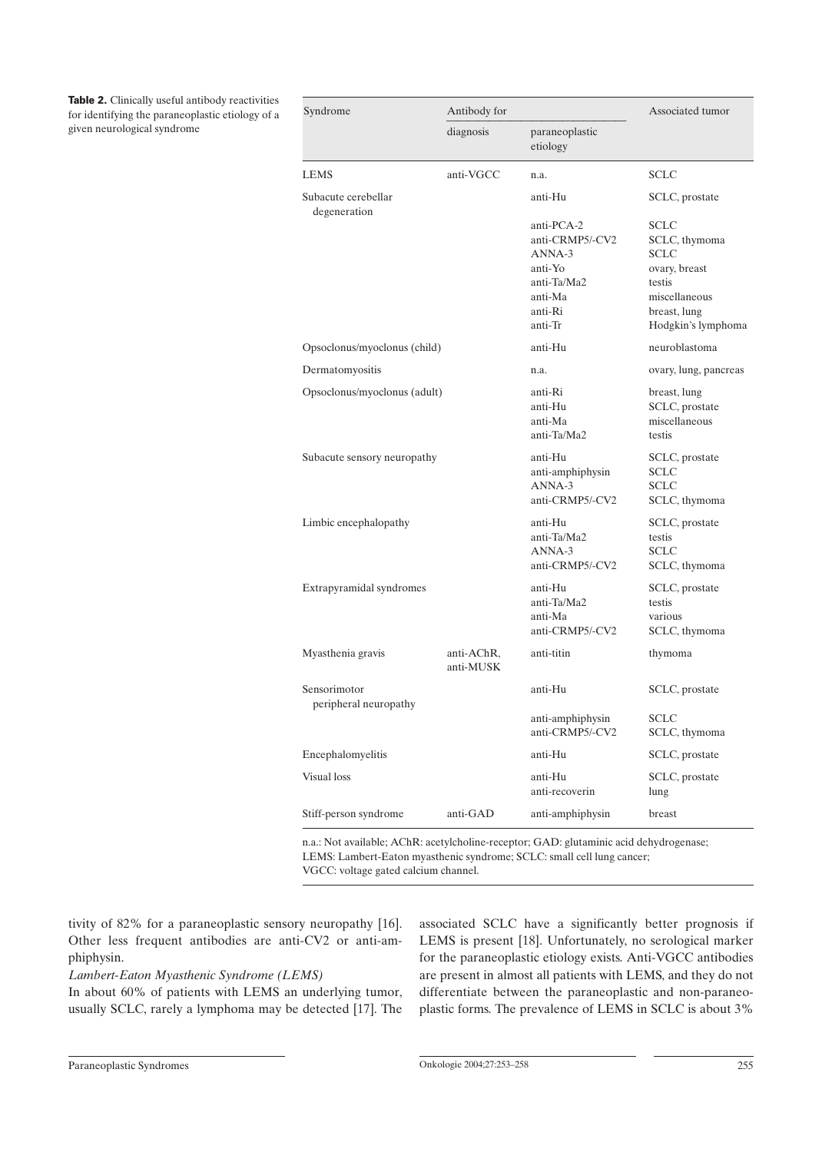**Table 2.** Clinically useful antibody reactivities for identifying the paraneoplastic etiology of a given neurological syndrome

| Syndrome                              | Antibody for            | Associated tumor                                                                                   |                                                                                                                        |
|---------------------------------------|-------------------------|----------------------------------------------------------------------------------------------------|------------------------------------------------------------------------------------------------------------------------|
|                                       | diagnosis               | paraneoplastic<br>etiology                                                                         |                                                                                                                        |
| <b>LEMS</b>                           | anti-VGCC               | n.a.                                                                                               | <b>SCLC</b>                                                                                                            |
| Subacute cerebellar<br>degeneration   |                         | anti-Hu                                                                                            | SCLC, prostate                                                                                                         |
|                                       |                         | anti-PCA-2<br>anti-CRMP5/-CV2<br>ANNA-3<br>anti-Yo<br>anti-Ta/Ma2<br>anti-Ma<br>anti-Ri<br>anti-Tr | SCLC<br>SCLC, thymoma<br><b>SCLC</b><br>ovary, breast<br>testis<br>miscellaneous<br>breast, lung<br>Hodgkin's lymphoma |
| Opsoclonus/myoclonus (child)          |                         | anti-Hu                                                                                            | neuroblastoma                                                                                                          |
| Dermatomyositis                       |                         | n.a.                                                                                               | ovary, lung, pancreas                                                                                                  |
| Opsoclonus/myoclonus (adult)          |                         | anti-Ri<br>anti-Hu<br>anti-Ma<br>anti-Ta/Ma2                                                       | breast, lung<br>SCLC, prostate<br>miscellaneous<br>testis                                                              |
| Subacute sensory neuropathy           |                         | anti-Hu<br>anti-amphiphysin<br>ANNA-3<br>anti-CRMP5/-CV2                                           | SCLC, prostate<br><b>SCLC</b><br><b>SCLC</b><br>SCLC, thymoma                                                          |
| Limbic encephalopathy                 |                         | anti-Hu<br>anti-Ta/Ma2<br>$ANNA-3$<br>anti-CRMP5/-CV2                                              | SCLC, prostate<br>testis<br><b>SCLC</b><br>SCLC, thymoma                                                               |
| Extrapyramidal syndromes              |                         | anti-Hu<br>anti-Ta/Ma2<br>anti-Ma<br>anti-CRMP5/-CV2                                               | SCLC, prostate<br>testis<br>various<br>SCLC, thymoma                                                                   |
| Myasthenia gravis                     | anti-AChR,<br>anti-MUSK | anti-titin                                                                                         | thymoma                                                                                                                |
| Sensorimotor<br>peripheral neuropathy |                         | anti-Hu                                                                                            | SCLC, prostate                                                                                                         |
|                                       |                         | anti-amphiphysin<br>anti-CRMP5/-CV2                                                                | <b>SCLC</b><br>SCLC, thymoma                                                                                           |
| Encephalomyelitis                     |                         | anti-Hu                                                                                            | SCLC, prostate                                                                                                         |
| Visual loss                           |                         | anti-Hu<br>anti-recoverin                                                                          | SCLC, prostate<br>lung                                                                                                 |
| Stiff-person syndrome                 | anti-GAD                | anti-amphiphysin                                                                                   | breast                                                                                                                 |

n.a.: Not available; AChR: acetylcholine-receptor; GAD: glutaminic acid dehydrogenase; LEMS: Lambert-Eaton myasthenic syndrome; SCLC: small cell lung cancer;

VGCC: voltage gated calcium channel.

tivity of 82% for a paraneoplastic sensory neuropathy [16]. Other less frequent antibodies are anti-CV2 or anti-amphiphysin.

## *Lambert-Eaton Myasthenic Syndrome (LEMS)*

In about 60% of patients with LEMS an underlying tumor, usually SCLC, rarely a lymphoma may be detected [17]. The

associated SCLC have a significantly better prognosis if LEMS is present [18]. Unfortunately, no serological marker for the paraneoplastic etiology exists. Anti-VGCC antibodies are present in almost all patients with LEMS, and they do not differentiate between the paraneoplastic and non-paraneoplastic forms. The prevalence of LEMS in SCLC is about 3%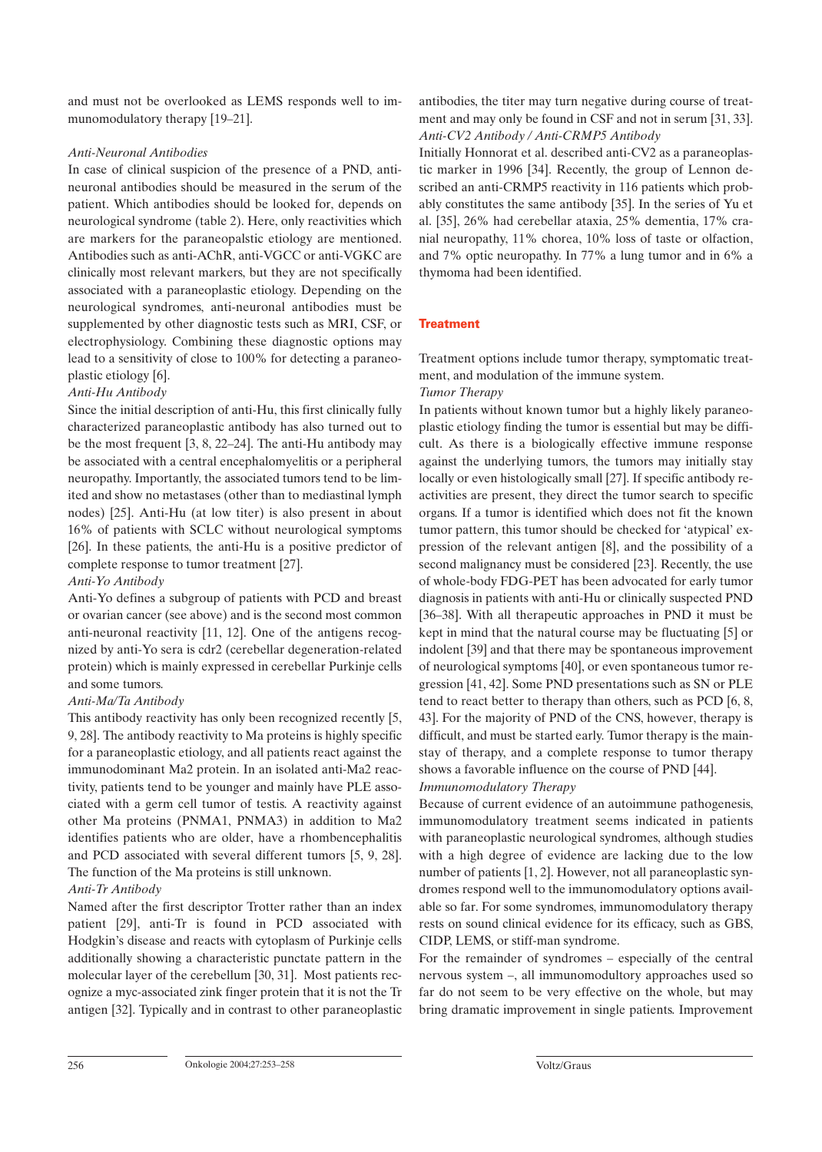and must not be overlooked as LEMS responds well to immunomodulatory therapy [19–21].

## *Anti-Neuronal Antibodies*

In case of clinical suspicion of the presence of a PND, antineuronal antibodies should be measured in the serum of the patient. Which antibodies should be looked for, depends on neurological syndrome (table 2). Here, only reactivities which are markers for the paraneopalstic etiology are mentioned. Antibodies such as anti-AChR, anti-VGCC or anti-VGKC are clinically most relevant markers, but they are not specifically associated with a paraneoplastic etiology. Depending on the neurological syndromes, anti-neuronal antibodies must be supplemented by other diagnostic tests such as MRI, CSF, or electrophysiology. Combining these diagnostic options may lead to a sensitivity of close to 100% for detecting a paraneoplastic etiology [6].

# *Anti-Hu Antibody*

Since the initial description of anti-Hu, this first clinically fully characterized paraneoplastic antibody has also turned out to be the most frequent [3, 8, 22–24]. The anti-Hu antibody may be associated with a central encephalomyelitis or a peripheral neuropathy. Importantly, the associated tumors tend to be limited and show no metastases (other than to mediastinal lymph nodes) [25]. Anti-Hu (at low titer) is also present in about 16% of patients with SCLC without neurological symptoms [26]. In these patients, the anti-Hu is a positive predictor of complete response to tumor treatment [27].

## *Anti-Yo Antibody*

Anti-Yo defines a subgroup of patients with PCD and breast or ovarian cancer (see above) and is the second most common anti-neuronal reactivity [11, 12]. One of the antigens recognized by anti-Yo sera is cdr2 (cerebellar degeneration-related protein) which is mainly expressed in cerebellar Purkinje cells and some tumors.

## *Anti-Ma/Ta Antibody*

This antibody reactivity has only been recognized recently [5, 9, 28]. The antibody reactivity to Ma proteins is highly specific for a paraneoplastic etiology, and all patients react against the immunodominant Ma2 protein. In an isolated anti-Ma2 reactivity, patients tend to be younger and mainly have PLE associated with a germ cell tumor of testis. A reactivity against other Ma proteins (PNMA1, PNMA3) in addition to Ma2 identifies patients who are older, have a rhombencephalitis and PCD associated with several different tumors [5, 9, 28]. The function of the Ma proteins is still unknown.

# *Anti-Tr Antibody*

Named after the first descriptor Trotter rather than an index patient [29], anti-Tr is found in PCD associated with Hodgkin's disease and reacts with cytoplasm of Purkinje cells additionally showing a characteristic punctate pattern in the molecular layer of the cerebellum [30, 31]. Most patients recognize a myc-associated zink finger protein that it is not the Tr antigen [32]. Typically and in contrast to other paraneoplastic antibodies, the titer may turn negative during course of treatment and may only be found in CSF and not in serum [31, 33]. *Anti-CV2 Antibody / Anti-CRMP5 Antibody*

Initially Honnorat et al. described anti-CV2 as a paraneoplastic marker in 1996 [34]. Recently, the group of Lennon described an anti-CRMP5 reactivity in 116 patients which probably constitutes the same antibody [35]. In the series of Yu et al. [35], 26% had cerebellar ataxia, 25% dementia, 17% cranial neuropathy, 11% chorea, 10% loss of taste or olfaction, and 7% optic neuropathy. In 77% a lung tumor and in 6% a thymoma had been identified.

## **Treatment**

Treatment options include tumor therapy, symptomatic treatment, and modulation of the immune system.

## *Tumor Therapy*

In patients without known tumor but a highly likely paraneoplastic etiology finding the tumor is essential but may be difficult. As there is a biologically effective immune response against the underlying tumors, the tumors may initially stay locally or even histologically small [27]. If specific antibody reactivities are present, they direct the tumor search to specific organs. If a tumor is identified which does not fit the known tumor pattern, this tumor should be checked for 'atypical' expression of the relevant antigen [8], and the possibility of a second malignancy must be considered [23]. Recently, the use of whole-body FDG-PET has been advocated for early tumor diagnosis in patients with anti-Hu or clinically suspected PND [36–38]. With all therapeutic approaches in PND it must be kept in mind that the natural course may be fluctuating [5] or indolent [39] and that there may be spontaneous improvement of neurological symptoms [40], or even spontaneous tumor regression [41, 42]. Some PND presentations such as SN or PLE tend to react better to therapy than others, such as PCD [6, 8, 43]. For the majority of PND of the CNS, however, therapy is difficult, and must be started early. Tumor therapy is the mainstay of therapy, and a complete response to tumor therapy shows a favorable influence on the course of PND [44].

## *Immunomodulatory Therapy*

Because of current evidence of an autoimmune pathogenesis, immunomodulatory treatment seems indicated in patients with paraneoplastic neurological syndromes, although studies with a high degree of evidence are lacking due to the low number of patients [1, 2]. However, not all paraneoplastic syndromes respond well to the immunomodulatory options available so far. For some syndromes, immunomodulatory therapy rests on sound clinical evidence for its efficacy, such as GBS, CIDP, LEMS, or stiff-man syndrome.

For the remainder of syndromes – especially of the central nervous system –, all immunomodultory approaches used so far do not seem to be very effective on the whole, but may bring dramatic improvement in single patients. Improvement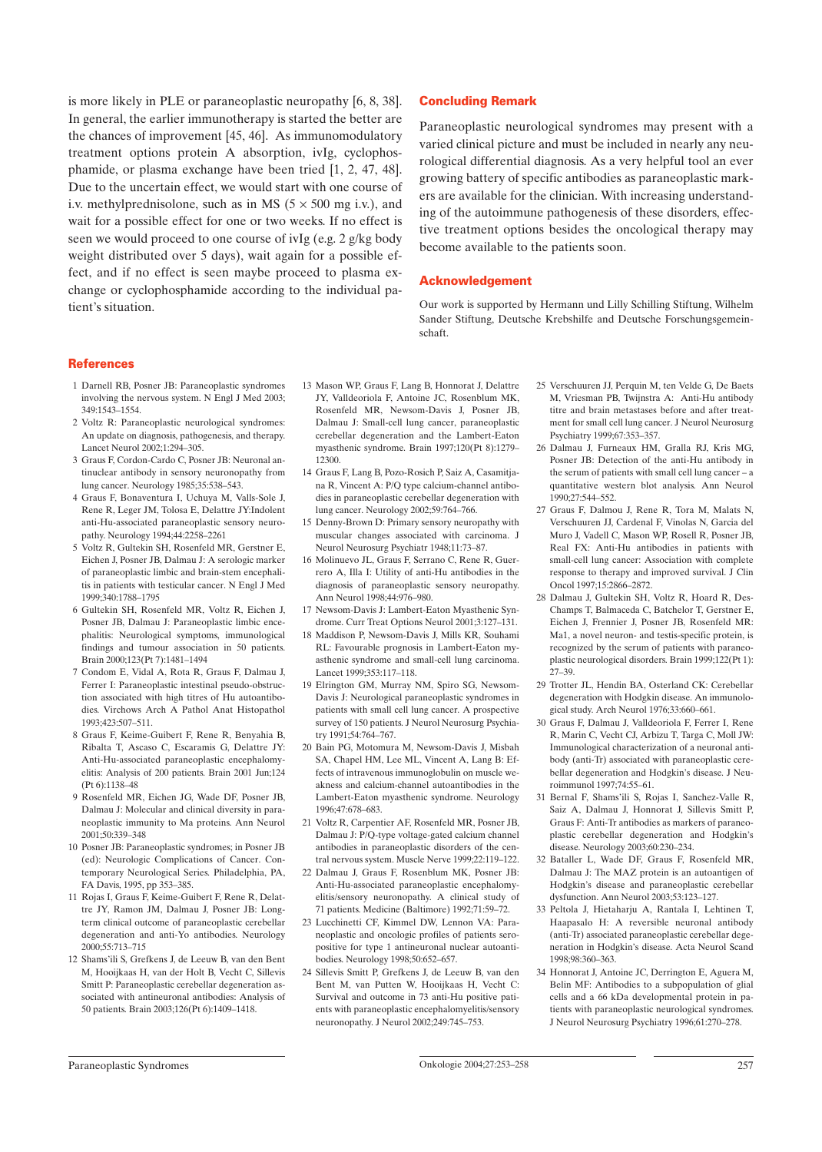is more likely in PLE or paraneoplastic neuropathy [6, 8, 38]. In general, the earlier immunotherapy is started the better are the chances of improvement [45, 46]. As immunomodulatory treatment options protein A absorption, ivIg, cyclophosphamide, or plasma exchange have been tried [1, 2, 47, 48]. Due to the uncertain effect, we would start with one course of i.v. methylprednisolone, such as in MS  $(5 \times 500 \text{ mg i.v.})$ , and wait for a possible effect for one or two weeks. If no effect is seen we would proceed to one course of ivIg (e.g. 2 g/kg body weight distributed over 5 days), wait again for a possible effect, and if no effect is seen maybe proceed to plasma exchange or cyclophosphamide according to the individual patient's situation.

### **Concluding Remark**

Paraneoplastic neurological syndromes may present with a varied clinical picture and must be included in nearly any neurological differential diagnosis. As a very helpful tool an ever growing battery of specific antibodies as paraneoplastic markers are available for the clinician. With increasing understanding of the autoimmune pathogenesis of these disorders, effective treatment options besides the oncological therapy may become available to the patients soon.

#### **Acknowledgement**

Our work is supported by Hermann und Lilly Schilling Stiftung, Wilhelm Sander Stiftung, Deutsche Krebshilfe and Deutsche Forschungsgemeinschaft.

#### **References**

- 1 Darnell RB, Posner JB: Paraneoplastic syndromes involving the nervous system. N Engl J Med 2003; 349:1543–1554.
- 2 Voltz R: Paraneoplastic neurological syndromes: An update on diagnosis, pathogenesis, and therapy. Lancet Neurol 2002;1:294–305.
- 3 Graus F, Cordon-Cardo C, Posner JB: Neuronal antinuclear antibody in sensory neuronopathy from lung cancer. Neurology 1985;35:538–543.
- 4 Graus F, Bonaventura I, Uchuya M, Valls-Sole J, Rene R, Leger JM, Tolosa E, Delattre JY:Indolent anti-Hu-associated paraneoplastic sensory neuropathy. Neurology 1994;44:2258–2261
- 5 Voltz R, Gultekin SH, Rosenfeld MR, Gerstner E, Eichen J, Posner JB, Dalmau J: A serologic marker of paraneoplastic limbic and brain-stem encephalitis in patients with testicular cancer. N Engl J Med 1999;340:1788–1795
- 6 Gultekin SH, Rosenfeld MR, Voltz R, Eichen J, Posner JB, Dalmau J: Paraneoplastic limbic encephalitis: Neurological symptoms, immunological findings and tumour association in 50 patients. Brain 2000;123(Pt 7):1481–1494
- 7 Condom E, Vidal A, Rota R, Graus F, Dalmau J, Ferrer I: Paraneoplastic intestinal pseudo-obstruction associated with high titres of Hu autoantibodies. Virchows Arch A Pathol Anat Histopathol 1993;423:507–511.
- 8 Graus F, Keime-Guibert F, Rene R, Benyahia B, Ribalta T, Ascaso C, Escaramis G, Delattre JY: Anti-Hu-associated paraneoplastic encephalomyelitis: Analysis of 200 patients. Brain 2001 Jun;124 (Pt 6):1138–48
- 9 Rosenfeld MR, Eichen JG, Wade DF, Posner JB, Dalmau J: Molecular and clinical diversity in paraneoplastic immunity to Ma proteins. Ann Neurol 2001;50:339–348
- 10 Posner JB: Paraneoplastic syndromes; in Posner JB (ed): Neurologic Complications of Cancer. Contemporary Neurological Series. Philadelphia, PA, FA Davis, 1995, pp 353–385.
- 11 Rojas I, Graus F, Keime-Guibert F, Rene R, Delattre JY, Ramon JM, Dalmau J, Posner JB: Longterm clinical outcome of paraneoplastic cerebellar degeneration and anti-Yo antibodies. Neurology 2000;55:713–715
- 12 Shams'ili S, Grefkens J, de Leeuw B, van den Bent M, Hooijkaas H, van der Holt B, Vecht C, Sillevis Smitt P: Paraneoplastic cerebellar degeneration associated with antineuronal antibodies: Analysis of 50 patients. Brain 2003;126(Pt 6):1409–1418.
- 13 Mason WP, Graus F, Lang B, Honnorat J, Delattre JY, Valldeoriola F, Antoine JC, Rosenblum MK, Rosenfeld MR, Newsom-Davis J, Posner JB, Dalmau J: Small-cell lung cancer, paraneoplastic cerebellar degeneration and the Lambert-Eaton myasthenic syndrome. Brain 1997;120(Pt 8):1279– 12300.
- 14 Graus F, Lang B, Pozo-Rosich P, Saiz A, Casamitjana R, Vincent A: P/Q type calcium-channel antibodies in paraneoplastic cerebellar degeneration with lung cancer. Neurology 2002;59:764–766.
- 15 Denny-Brown D: Primary sensory neuropathy with muscular changes associated with carcinoma. J Neurol Neurosurg Psychiatr 1948;11:73–87.
- 16 Molinuevo JL, Graus F, Serrano C, Rene R, Guerrero A, Illa I: Utility of anti-Hu antibodies in the diagnosis of paraneoplastic sensory neuropathy. Ann Neurol 1998;44:976–980.
- 17 Newsom-Davis J: Lambert-Eaton Myasthenic Syndrome. Curr Treat Options Neurol 2001;3:127–131.
- 18 Maddison P, Newsom-Davis J, Mills KR, Souhami RL: Favourable prognosis in Lambert-Eaton myasthenic syndrome and small-cell lung carcinoma. Lancet 1999;353:117–118.
- 19 Elrington GM, Murray NM, Spiro SG, Newsom-Davis J: Neurological paraneoplastic syndromes in patients with small cell lung cancer. A prospective survey of 150 patients. J Neurol Neurosurg Psychiatry 1991;54:764–767.
- 20 Bain PG, Motomura M, Newsom-Davis J, Misbah SA, Chapel HM, Lee ML, Vincent A, Lang B: Effects of intravenous immunoglobulin on muscle weakness and calcium-channel autoantibodies in the Lambert-Eaton myasthenic syndrome. Neurology 1996;47:678–683.
- 21 Voltz R, Carpentier AF, Rosenfeld MR, Posner JB, Dalmau J: P/Q-type voltage-gated calcium channel antibodies in paraneoplastic disorders of the central nervous system. Muscle Nerve 1999;22:119–122.
- 22 Dalmau J, Graus F, Rosenblum MK, Posner JB: Anti-Hu-associated paraneoplastic encephalomyelitis/sensory neuronopathy. A clinical study of 71 patients. Medicine (Baltimore) 1992;71:59–72.
- 23 Lucchinetti CF, Kimmel DW, Lennon VA: Paraneoplastic and oncologic profiles of patients seropositive for type 1 antineuronal nuclear autoantibodies. Neurology 1998;50:652–657.
- 24 Sillevis Smitt P, Grefkens J, de Leeuw B, van den Bent M, van Putten W, Hooijkaas H, Vecht C: Survival and outcome in 73 anti-Hu positive patients with paraneoplastic encephalomyelitis/sensory neuronopathy. J Neurol 2002;249:745–753.
- 25 Verschuuren JJ, Perquin M, ten Velde G, De Baets M, Vriesman PB, Twijnstra A: Anti-Hu antibody titre and brain metastases before and after treatment for small cell lung cancer. J Neurol Neurosurg Psychiatry 1999;67:353–357.
- 26 Dalmau J, Furneaux HM, Gralla RJ, Kris MG, Posner JB: Detection of the anti-Hu antibody in the serum of patients with small cell lung cancer – a quantitative western blot analysis. Ann Neurol  $1990:27:544-552$ .
- 27 Graus F, Dalmou J, Rene R, Tora M, Malats N, Verschuuren JJ, Cardenal F, Vinolas N, Garcia del Muro J, Vadell C, Mason WP, Rosell R, Posner JB, Real FX: Anti-Hu antibodies in patients with small-cell lung cancer: Association with complete response to therapy and improved survival. J Clin Oncol 1997;15:2866–2872.
- 28 Dalmau J, Gultekin SH, Voltz R, Hoard R, Des-Champs T, Balmaceda C, Batchelor T, Gerstner E, Eichen J, Frennier J, Posner JB, Rosenfeld MR: Ma1, a novel neuron- and testis-specific protein, is recognized by the serum of patients with paraneoplastic neurological disorders. Brain 1999;122(Pt 1): 27–39.
- 29 Trotter JL, Hendin BA, Osterland CK: Cerebellar degeneration with Hodgkin disease. An immunological study. Arch Neurol 1976;33:660–661.
- 30 Graus F, Dalmau J, Valldeoriola F, Ferrer I, Rene R, Marin C, Vecht CJ, Arbizu T, Targa C, Moll JW: Immunological characterization of a neuronal antibody (anti-Tr) associated with paraneoplastic cerebellar degeneration and Hodgkin's disease. J Neuroimmunol 1997;74:55–61.
- 31 Bernal F, Shams'ili S, Rojas I, Sanchez-Valle R, Saiz A, Dalmau J, Honnorat J, Sillevis Smitt P, Graus F: Anti-Tr antibodies as markers of paraneoplastic cerebellar degeneration and Hodgkin's disease. Neurology 2003;60:230–234.
- 32 Bataller L, Wade DF, Graus F, Rosenfeld MR, Dalmau J: The MAZ protein is an autoantigen of Hodgkin's disease and paraneoplastic cerebellar dysfunction. Ann Neurol 2003;53:123–127.
- 33 Peltola J, Hietaharju A, Rantala I, Lehtinen T, Haapasalo H: A reversible neuronal antibody (anti-Tr) associated paraneoplastic cerebellar degeneration in Hodgkin's disease. Acta Neurol Scand 1998;98:360–363.
- 34 Honnorat J, Antoine JC, Derrington E, Aguera M, Belin MF: Antibodies to a subpopulation of glial cells and a 66 kDa developmental protein in patients with paraneoplastic neurological syndromes. J Neurol Neurosurg Psychiatry 1996;61:270–278.